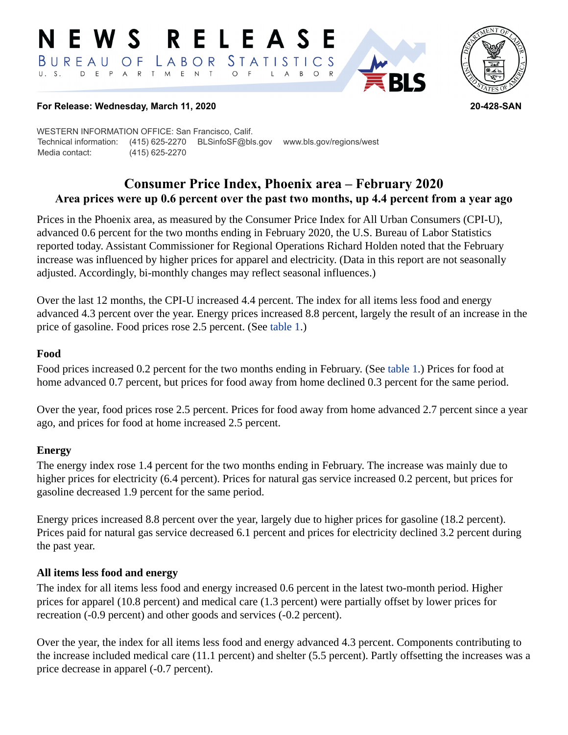#### RELEASE E W S STATISTICS BUREAU OF  $L$   $A$   $B$   $O$   $R$ D E P A R T M E N T  $\circ$  $\overline{F}$  $\overline{A}$  $B$  $\circ$  $\mathsf{L}$



### **For Release: Wednesday, March 11, 2020 20-428-SAN**

WESTERN INFORMATION OFFICE: San Francisco, Calif. Technical information: (415) 625-2270 BLSinfoSF@bls.gov www.bls.gov/regions/west Media contact: (415) 625-2270

# **Consumer Price Index, Phoenix area – February 2020 Area prices were up 0.6 percent over the past two months, up 4.4 percent from a year ago**

Prices in the Phoenix area, as measured by the Consumer Price Index for All Urban Consumers (CPI-U), advanced 0.6 percent for the two months ending in February 2020, the U.S. Bureau of Labor Statistics reported today. Assistant Commissioner for Regional Operations Richard Holden noted that the February increase was influenced by higher prices for apparel and electricity. (Data in this report are not seasonally adjusted. Accordingly, bi-monthly changes may reflect seasonal influences.)

Over the last 12 months, the CPI-U increased 4.4 percent. The index for all items less food and energy advanced 4.3 percent over the year. Energy prices increased 8.8 percent, largely the result of an increase in the price of gasoline. Food prices rose 2.5 percent. (See [table 1.](#page-3-0))

## **Food**

Food prices increased 0.2 percent for the two months ending in February. (See [table 1.](#page-3-0)) Prices for food at home advanced 0.7 percent, but prices for food away from home declined 0.3 percent for the same period.

Over the year, food prices rose 2.5 percent. Prices for food away from home advanced 2.7 percent since a year ago, and prices for food at home increased 2.5 percent.

## **Energy**

The energy index rose 1.4 percent for the two months ending in February. The increase was mainly due to higher prices for electricity (6.4 percent). Prices for natural gas service increased 0.2 percent, but prices for gasoline decreased 1.9 percent for the same period.

Energy prices increased 8.8 percent over the year, largely due to higher prices for gasoline (18.2 percent). Prices paid for natural gas service decreased 6.1 percent and prices for electricity declined 3.2 percent during the past year.

## **All items less food and energy**

The index for all items less food and energy increased 0.6 percent in the latest two-month period. Higher prices for apparel (10.8 percent) and medical care (1.3 percent) were partially offset by lower prices for recreation (-0.9 percent) and other goods and services (-0.2 percent).

Over the year, the index for all items less food and energy advanced 4.3 percent. Components contributing to the increase included medical care (11.1 percent) and shelter (5.5 percent). Partly offsetting the increases was a price decrease in apparel (-0.7 percent).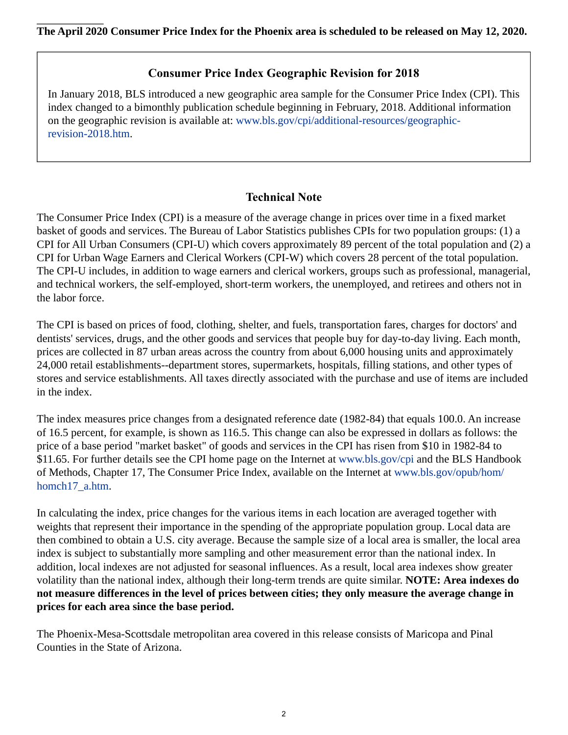# **Consumer Price Index Geographic Revision for 2018**

In January 2018, BLS introduced a new geographic area sample for the Consumer Price Index (CPI). This index changed to a bimonthly publication schedule beginning in February, 2018. Additional information on the geographic revision is available at: [www.bls.gov/cpi/additional-resources/geographic](https://www.bls.gov/cpi/additional-resources/geographic-revision-2018.htm)[revision-2018.htm.](https://www.bls.gov/cpi/additional-resources/geographic-revision-2018.htm)

# **Technical Note**

The Consumer Price Index (CPI) is a measure of the average change in prices over time in a fixed market basket of goods and services. The Bureau of Labor Statistics publishes CPIs for two population groups: (1) a CPI for All Urban Consumers (CPI-U) which covers approximately 89 percent of the total population and (2) a CPI for Urban Wage Earners and Clerical Workers (CPI-W) which covers 28 percent of the total population. The CPI-U includes, in addition to wage earners and clerical workers, groups such as professional, managerial, and technical workers, the self-employed, short-term workers, the unemployed, and retirees and others not in the labor force.

The CPI is based on prices of food, clothing, shelter, and fuels, transportation fares, charges for doctors' and dentists' services, drugs, and the other goods and services that people buy for day-to-day living. Each month, prices are collected in 87 urban areas across the country from about 6,000 housing units and approximately 24,000 retail establishments--department stores, supermarkets, hospitals, filling stations, and other types of stores and service establishments. All taxes directly associated with the purchase and use of items are included in the index.

The index measures price changes from a designated reference date (1982-84) that equals 100.0. An increase of 16.5 percent, for example, is shown as 116.5. This change can also be expressed in dollars as follows: the price of a base period "market basket" of goods and services in the CPI has risen from \$10 in 1982-84 to \$11.65. For further details see the CPI home page on the Internet at [www.bls.gov/cpi](https://www.bls.gov/cpi) and the BLS Handbook of Methods, Chapter 17, The Consumer Price Index, available on the Internet at [www.bls.gov/opub/hom/](https://www.bls.gov/opub/hom/homch17_a.htm) [homch17\\_a.htm](https://www.bls.gov/opub/hom/homch17_a.htm).

In calculating the index, price changes for the various items in each location are averaged together with weights that represent their importance in the spending of the appropriate population group. Local data are then combined to obtain a U.S. city average. Because the sample size of a local area is smaller, the local area index is subject to substantially more sampling and other measurement error than the national index. In addition, local indexes are not adjusted for seasonal influences. As a result, local area indexes show greater volatility than the national index, although their long-term trends are quite similar. **NOTE: Area indexes do not measure differences in the level of prices between cities; they only measure the average change in prices for each area since the base period.**

The Phoenix-Mesa-Scottsdale metropolitan area covered in this release consists of Maricopa and Pinal Counties in the State of Arizona.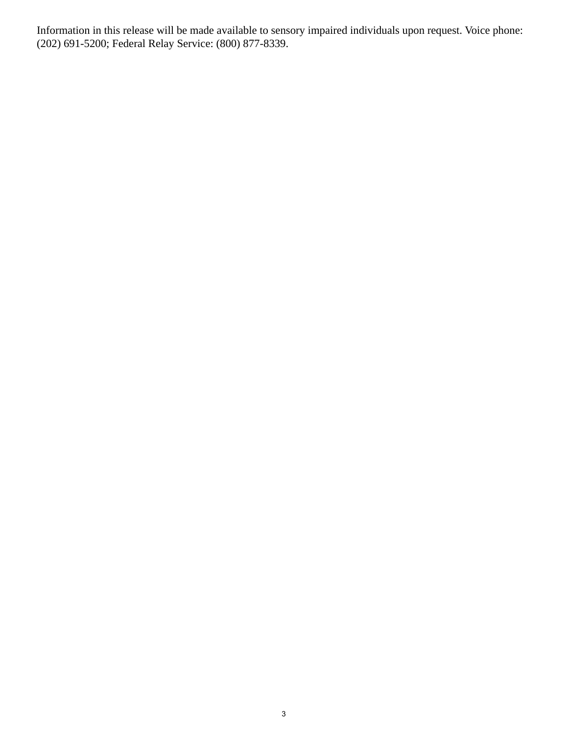Information in this release will be made available to sensory impaired individuals upon request. Voice phone: (202) 691-5200; Federal Relay Service: (800) 877-8339.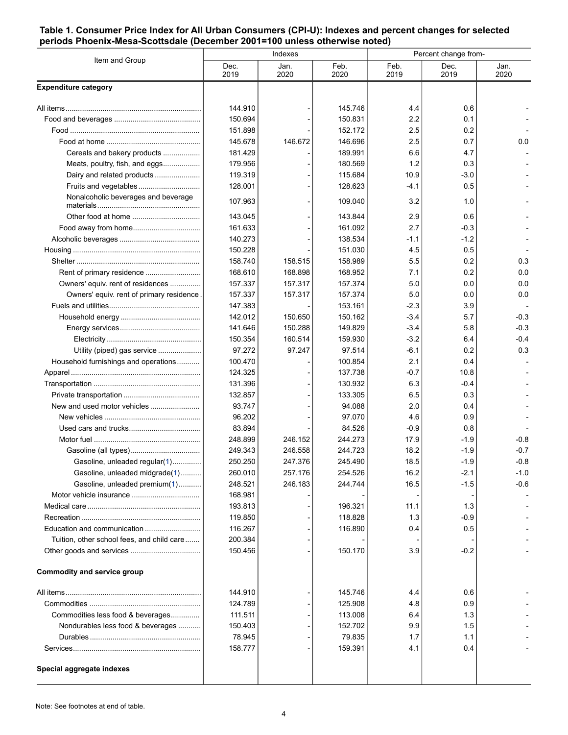#### <span id="page-3-0"></span>**Table 1. Consumer Price Index for All Urban Consumers (CPI-U): Indexes and percent changes for selected periods Phoenix-Mesa-Scottsdale (December 2001=100 unless otherwise noted)**

| Item and Group                             | Indexes      |              |              | Percent change from- |              |              |
|--------------------------------------------|--------------|--------------|--------------|----------------------|--------------|--------------|
|                                            | Dec.<br>2019 | Jan.<br>2020 | Feb.<br>2020 | Feb.<br>2019         | Dec.<br>2019 | Jan.<br>2020 |
| <b>Expenditure category</b>                |              |              |              |                      |              |              |
|                                            | 144.910      |              | 145.746      | 4.4                  | 0.6          |              |
|                                            | 150.694      |              | 150.831      | 2.2                  | 0.1          |              |
|                                            | 151.898      |              | 152.172      | 2.5                  | 0.2          |              |
|                                            | 145.678      | 146.672      | 146.696      | 2.5                  | 0.7          | 0.0          |
| Cereals and bakery products                | 181.429      |              | 189.991      | 6.6                  | 4.7          |              |
| Meats, poultry, fish, and eggs             | 179.956      |              | 180.569      | 1.2                  | 0.3          |              |
| Dairy and related products                 | 119.319      |              | 115.684      | 10.9                 | $-3.0$       |              |
| Fruits and vegetables                      | 128.001      |              | 128.623      | -4.1                 | 0.5          |              |
| Nonalcoholic beverages and beverage        | 107.963      |              | 109.040      | 3.2                  | 1.0          |              |
|                                            | 143.045      |              | 143.844      | 2.9                  | 0.6          |              |
|                                            | 161.633      |              | 161.092      | 2.7                  | $-0.3$       |              |
|                                            | 140.273      |              | 138.534      | -1.1                 | $-1.2$       |              |
|                                            | 150.228      |              | 151.030      | 4.5                  | 0.5          |              |
|                                            | 158.740      | 158.515      | 158.989      | 5.5                  | 0.2          | 0.3          |
|                                            | 168.610      | 168.898      | 168.952      | 7.1                  | 0.2          | 0.0          |
| Owners' equiv. rent of residences          | 157.337      | 157.317      | 157.374      | 5.0                  | 0.0          | 0.0          |
| Owners' equiv. rent of primary residence   | 157.337      | 157.317      | 157.374      | 5.0                  | 0.0          | 0.0          |
|                                            | 147.383      |              | 153.161      | $-2.3$               | 3.9          |              |
|                                            | 142.012      | 150.650      | 150.162      | $-3.4$               | 5.7          | $-0.3$       |
|                                            | 141.646      | 150.288      | 149.829      | $-3.4$               | 5.8          | $-0.3$       |
|                                            | 150.354      | 160.514      | 159.930      | $-3.2$               | 6.4          | $-0.4$       |
| Utility (piped) gas service                | 97.272       | 97.247       | 97.514       | $-6.1$               | 0.2          | 0.3          |
| Household furnishings and operations       | 100.470      |              | 100.854      | 2.1                  | 0.4          |              |
|                                            | 124.325      |              | 137.738      | $-0.7$               | 10.8         |              |
|                                            | 131.396      |              | 130.932      | 6.3                  | $-0.4$       |              |
|                                            | 132.857      |              | 133.305      | 6.5                  | 0.3          |              |
|                                            | 93.747       |              | 94.088       | 2.0                  | 0.4          |              |
|                                            | 96.202       |              | 97.070       | 4.6                  | 0.9          |              |
|                                            | 83.894       |              | 84.526       | $-0.9$               | 0.8          |              |
|                                            | 248.899      | 246.152      | 244.273      | 17.9                 | $-1.9$       | $-0.8$       |
|                                            | 249.343      | 246.558      | 244.723      | 18.2                 | $-1.9$       | $-0.7$       |
| Gasoline, unleaded regular(1)              | 250.250      | 247.376      | 245.490      | 18.5                 | $-1.9$       | $-0.8$       |
| Gasoline, unleaded midgrade(1)             | 260.010      | 257.176      | 254.526      | 16.2                 | $-2.1$       | $-1.0$       |
| Gasoline, unleaded premium(1)              | 248.521      | 246.183      | 244.744      | 16.5                 | $-1.5$       | $-0.6$       |
|                                            | 168.981      |              |              |                      |              |              |
|                                            | 193.813      |              | 196.321      | 11.1                 | 1.3          |              |
|                                            | 119.850      |              | 118.828      | 1.3                  | $-0.9$       |              |
| Education and communication                | 116.267      |              | 116.890      | 0.4                  | 0.5          |              |
| Tuition, other school fees, and child care | 200.384      |              |              |                      |              |              |
|                                            | 150.456      |              | 150.170      | 3.9                  | $-0.2$       |              |
| <b>Commodity and service group</b>         |              |              |              |                      |              |              |
|                                            | 144.910      |              | 145.746      | 4.4                  | 0.6          |              |
|                                            | 124.789      |              | 125.908      | 4.8                  | 0.9          |              |
| Commodities less food & beverages          | 111.511      |              | 113.008      | 6.4                  | 1.3          |              |
| Nondurables less food & beverages          | 150.403      |              | 152.702      | 9.9                  | 1.5          |              |
|                                            | 78.945       |              | 79.835       | 1.7                  | 1.1          |              |
|                                            | 158.777      |              | 159.391      | 4.1                  | 0.4          |              |
| Special aggregate indexes                  |              |              |              |                      |              |              |